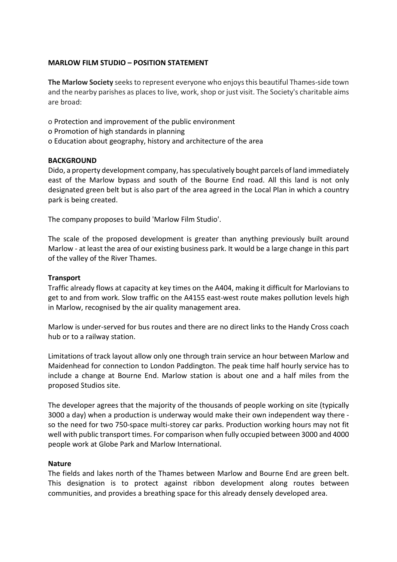### **MARLOW FILM STUDIO – POSITION STATEMENT**

**The Marlow Society** seeksto represent everyone who enjoysthis beautiful Thames-side town and the nearby parishes as places to live, work, shop or just visit. The Society's charitable aims are broad:

o Protection and improvement of the public environment

- o Promotion of high standards in planning
- o Education about geography, history and architecture of the area

# **BACKGROUND**

Dido, a property development company, has speculatively bought parcels of land immediately east of the Marlow bypass and south of the Bourne End road. All this land is not only designated green belt but is also part of the area agreed in the Local Plan in which a country park is being created.

The company proposes to build 'Marlow Film Studio'.

The scale of the proposed development is greater than anything previously built around Marlow - at least the area of our existing business park. It would be a large change in this part of the valley of the River Thames.

# **Transport**

Traffic already flows at capacity at key times on the A404, making it difficult for Marlovians to get to and from work. Slow traffic on the A4155 east-west route makes pollution levels high in Marlow, recognised by the air quality management area.

Marlow is under-served for bus routes and there are no direct links to the Handy Cross coach hub or to a railway station.

Limitations of track layout allow only one through train service an hour between Marlow and Maidenhead for connection to London Paddington. The peak time half hourly service has to include a change at Bourne End. Marlow station is about one and a half miles from the proposed Studios site.

The developer agrees that the majority of the thousands of people working on site (typically 3000 a day) when a production is underway would make their own independent way there so the need for two 750-space multi-storey car parks. Production working hours may not fit well with public transport times. For comparison when fully occupied between 3000 and 4000 people work at Globe Park and Marlow International.

### **Nature**

The fields and lakes north of the Thames between Marlow and Bourne End are green belt. This designation is to protect against ribbon development along routes between communities, and provides a breathing space for this already densely developed area.